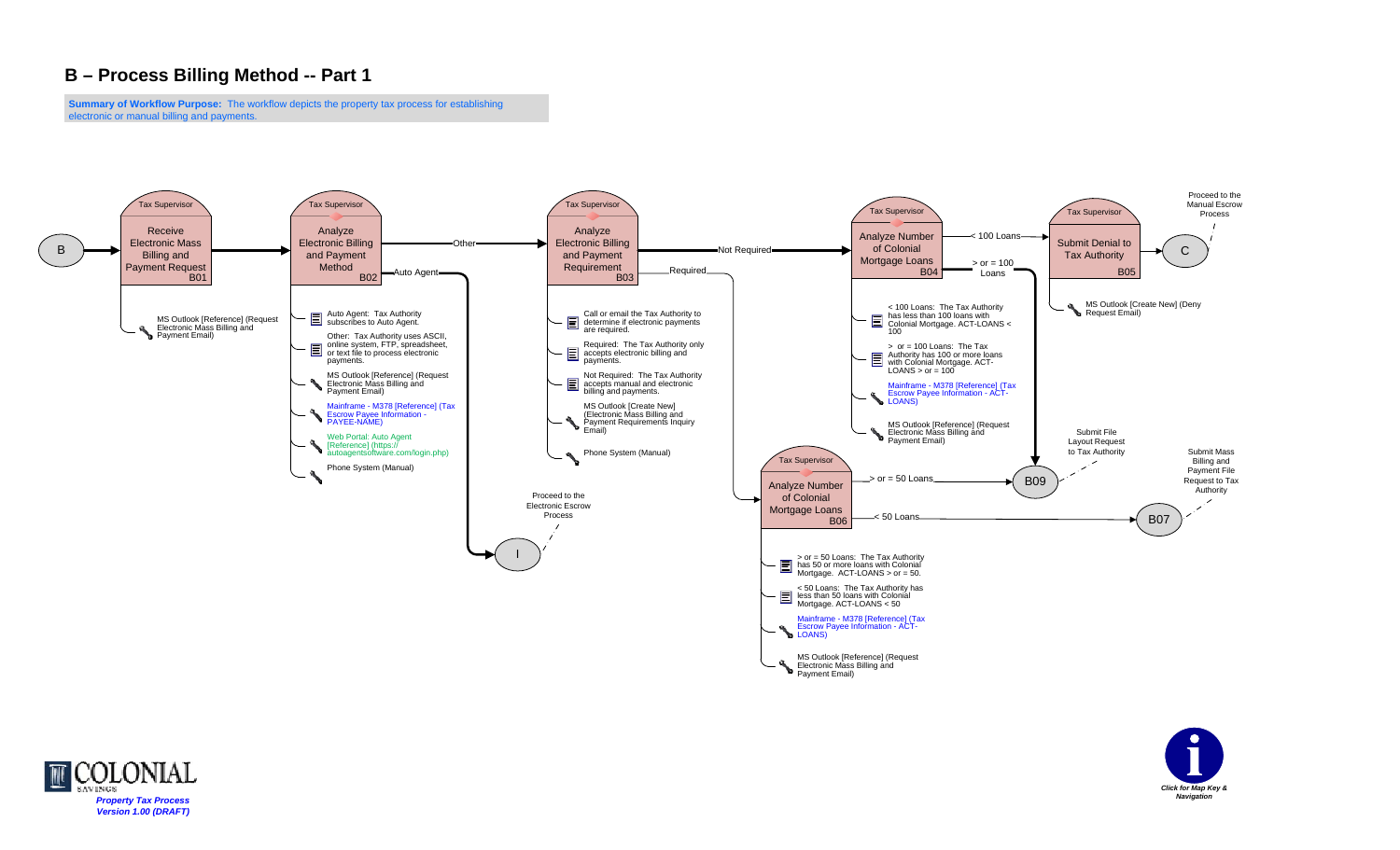**Summary of Workflow Purpose:** The workflow depicts the property tax process for establishing electronic or manual billing and payments.





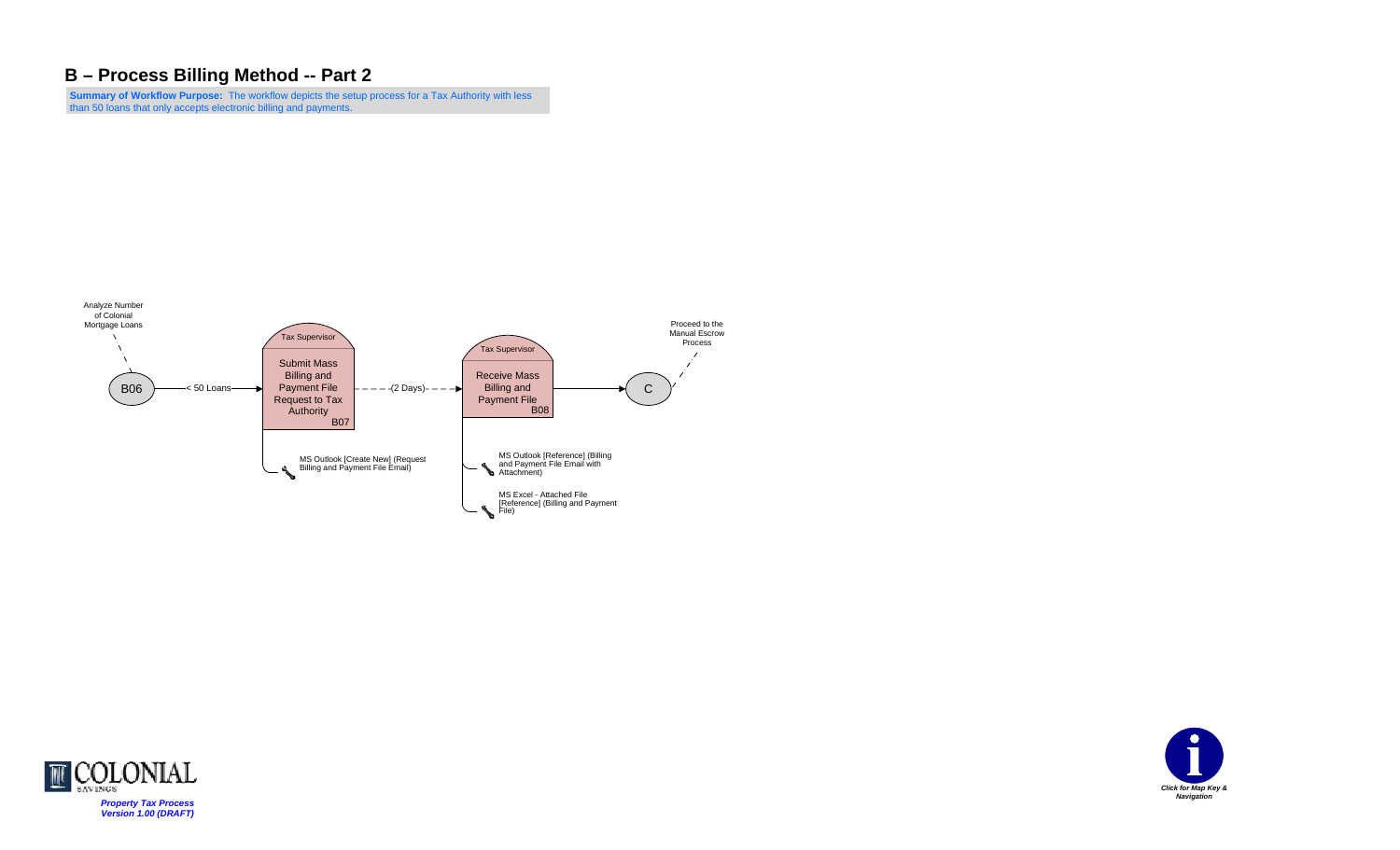**Summary of Workflow Purpose:** The workflow depicts the setup process for a Tax Authority with less than 50 loans that only accepts electronic billing and payments.





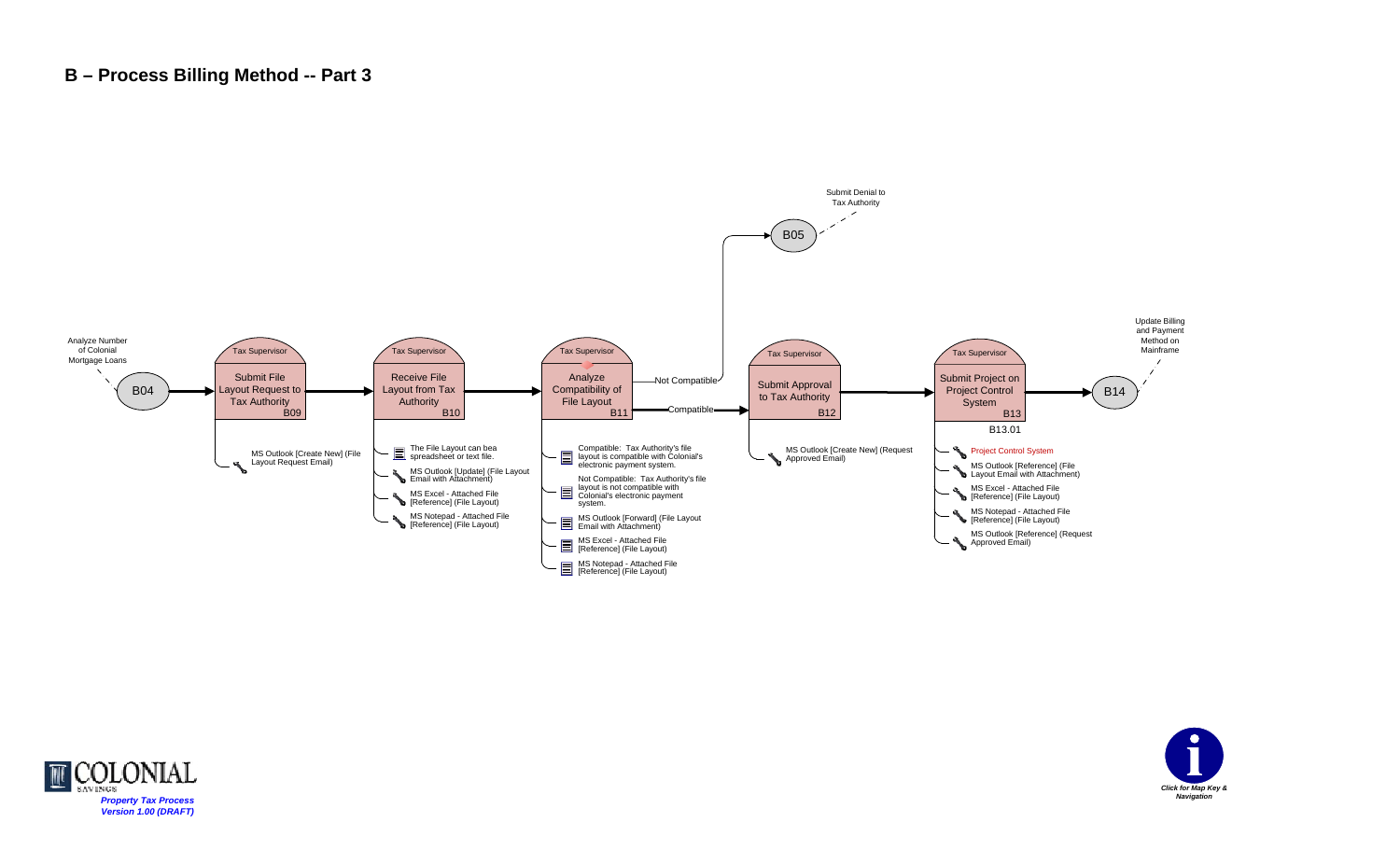



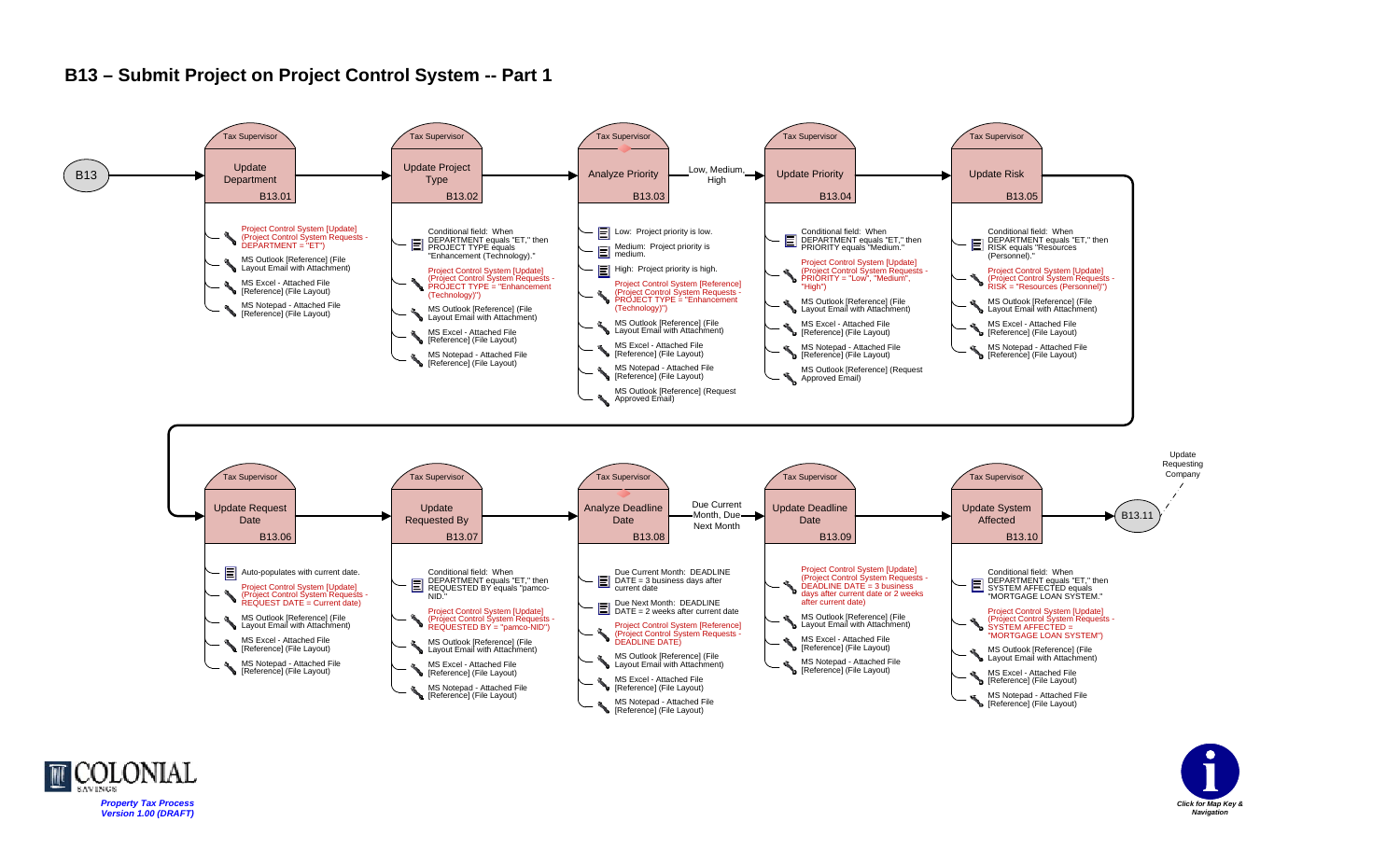### **B13 – Submit Project on Project Control System -- Part 1**



MS Notepad - Attached File **Reference]** (File Layout)

**[Reference]** (File Layout)



MS Notepad - Attached File [Reference] (File Layout)

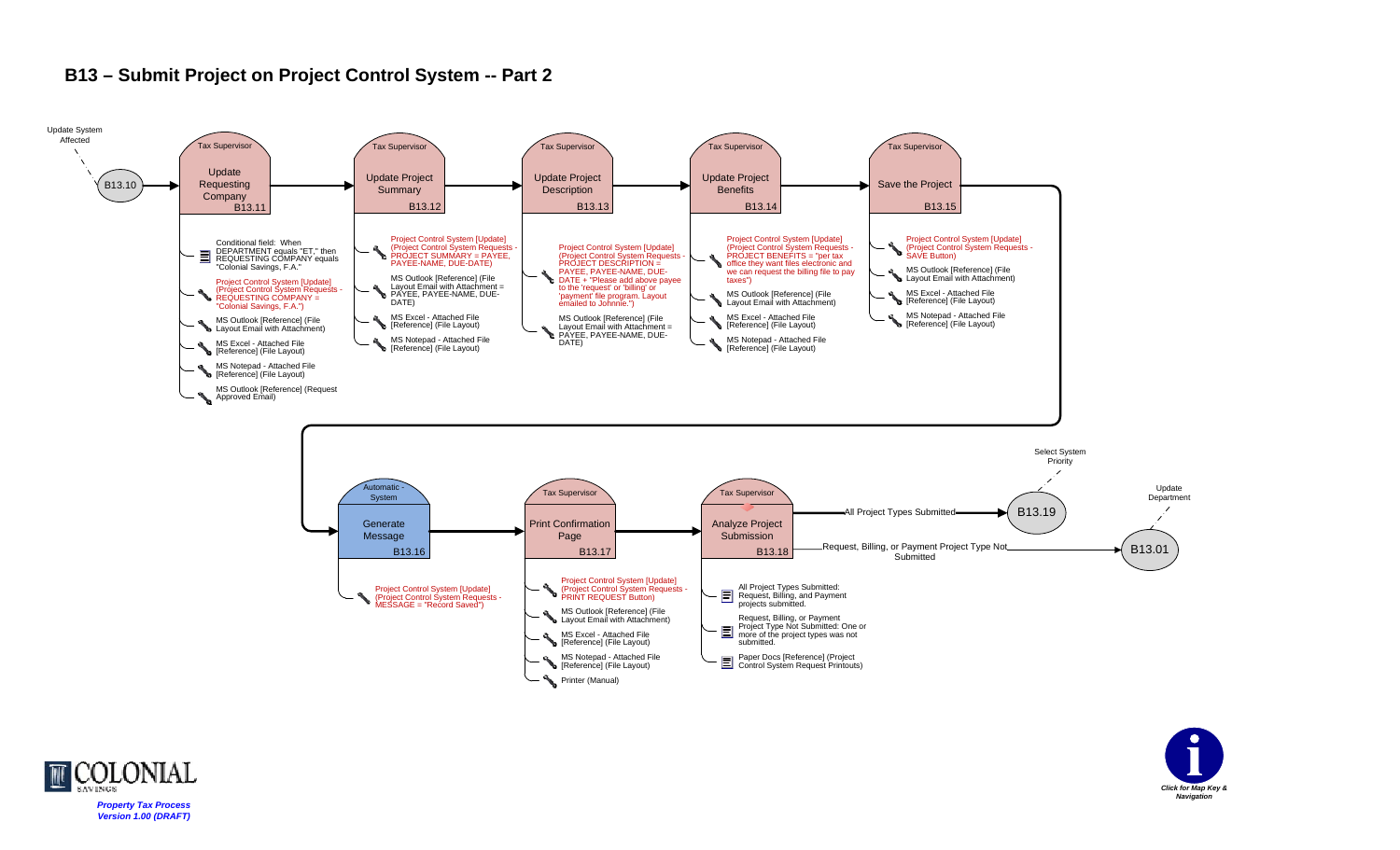

## **B13 – Submit Project on Project Control System -- Part 2**



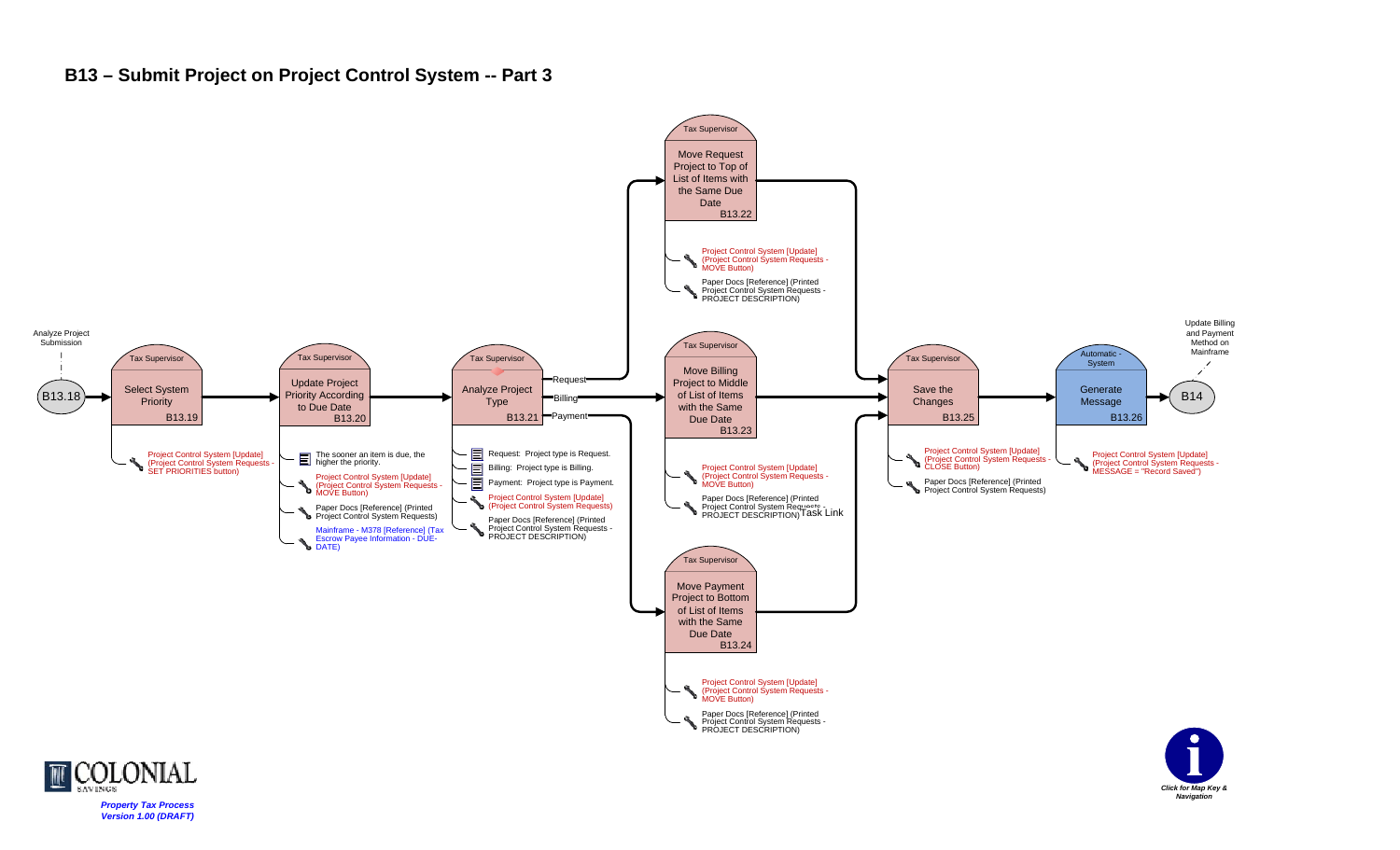### **B13 – Submit Project on Project Control System -- Part 3**



*Click for Map Key & Navigation*

COLONIAL *Property Tax Process Version 1.00 (DRAFT)*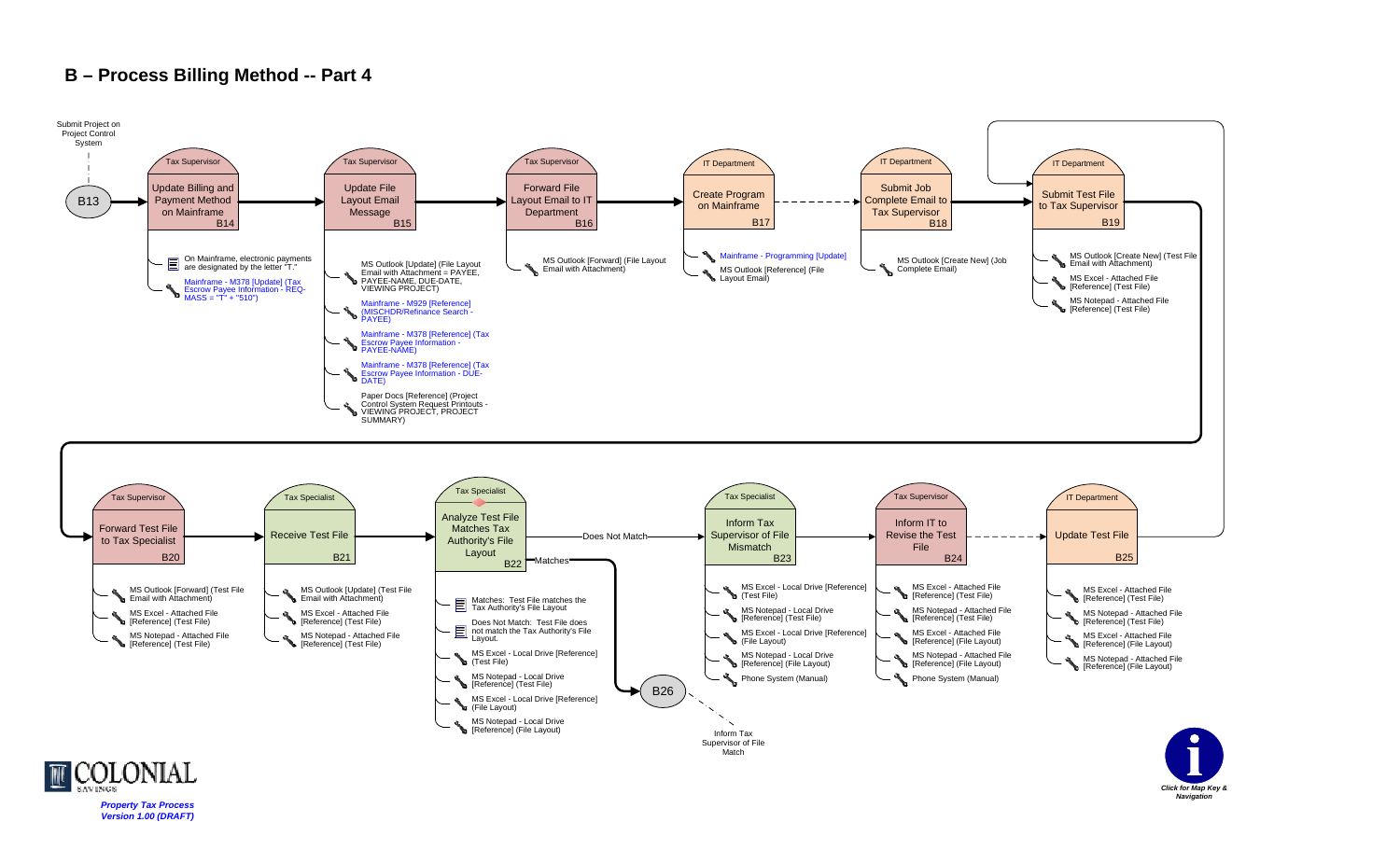

*Property Tax Process Version 1.00 (DRAFT)*